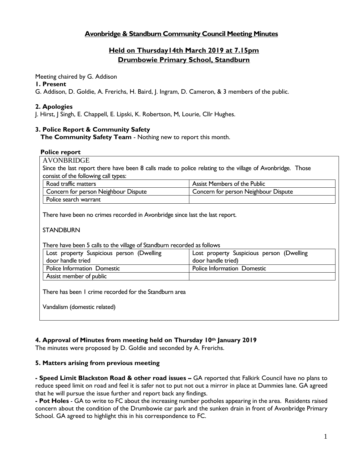## **Avonbridge & Standburn Community Council Meeting Minutes**

# **Held on Thursday14th March 2019 at 7.15pm Drumbowie Primary School, Standburn**

Meeting chaired by G. Addison

### **1. Present**

G. Addison, D. Goldie, A. Frerichs, H. Baird, J. Ingram, D. Cameron, & 3 members of the public.

## **2. Apologies**

J. Hirst, J Singh, E. Chappell, E. Lipski, K. Robertson, M, Lourie, Cllr Hughes.

## **3. Police Report & Community Safety**

**The Community Safety Team** - Nothing new to report this month.

#### **Police report**

AVONBRIDGE Since the last report there have been 8 calls made to police relating to the village of Avonbridge. Those consist of the following call types:

| Road traffic matters                 |                       | <b>Assist Members of the Public</b>  |  |  |  |
|--------------------------------------|-----------------------|--------------------------------------|--|--|--|
| Concern for person Neighbour Dispute |                       | Concern for person Neighbour Dispute |  |  |  |
|                                      | Police search warrant |                                      |  |  |  |

There have been no crimes recorded in Avonbridge since last the last report.

**STANDBURN** 

There have been 5 calls to the village of Standburn recorded as follows

| Lost property Suspicious person (Dwelling | Lost property Suspicious person (Dwelling |  |  |  |  |
|-------------------------------------------|-------------------------------------------|--|--|--|--|
| door handle tried                         | door handle tried)                        |  |  |  |  |
| Police Information Domestic               | Police Information Domestic               |  |  |  |  |
| Assist member of public                   |                                           |  |  |  |  |

There has been 1 crime recorded for the Standburn area

Vandalism (domestic related)

## **4. Approval of Minutes from meeting held on Thursday 10th January 2019**

The minutes were proposed by D. Goldie and seconded by A. Frerichs.

## **5. Matters arising from previous meeting**

**- Speed Limit Blackston Road & other road issues –** GA reported that Falkirk Council have no plans to reduce speed limit on road and feel it is safer not to put not out a mirror in place at Dummies lane. GA agreed that he will pursue the issue further and report back any findings.

**- Pot Holes** - GA to write to FC about the increasing number potholes appearing in the area. Residents raised concern about the condition of the Drumbowie car park and the sunken drain in front of Avonbridge Primary School. GA agreed to highlight this in his correspondence to FC.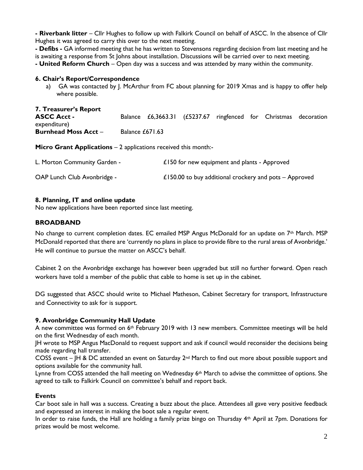**- Riverbank litter** – Cllr Hughes to follow up with Falkirk Council on behalf of ASCC. In the absence of Cllr Hughes it was agreed to carry this over to the next meeting.

**- Defibs -** GA informed meeting that he has written to Stevensons regarding decision from last meeting and he is awaiting a response from St Johns about installation. Discussions will be carried over to next meeting.

**- United Reform Church** – Open day was a success and was attended by many within the community.

#### **6. Chair's Report/Correspondence**

a) GA was contacted by J. McArthur from FC about planning for 2019 Xmas and is happy to offer help where possible.

| 7. Treasurer's Report       |                 |                                                                  |  |  |  |
|-----------------------------|-----------------|------------------------------------------------------------------|--|--|--|
| <b>ASCC Acct -</b>          |                 | Balance £6,3663.31 (£5237.67 ringfenced for Christmas decoration |  |  |  |
| expenditure)                |                 |                                                                  |  |  |  |
| <b>Burnhead Moss Acct -</b> | Balance £671.63 |                                                                  |  |  |  |

**Micro Grant Applications** – 2 applications received this month:-

| L. Morton Community Garden - | £150 for new equipment and plants - Approved             |
|------------------------------|----------------------------------------------------------|
| OAP Lunch Club Avonbridge -  | £150.00 to buy additional crockery and pots $-$ Approved |

#### **8. Planning, IT and online update**

No new applications have been reported since last meeting.

#### **BROADBAND**

No change to current completion dates. EC emailed MSP Angus McDonald for an update on  $7<sup>th</sup>$  March. MSP McDonald reported that there are 'currently no plans in place to provide fibre to the rural areas of Avonbridge.' He will continue to pursue the matter on ASCC's behalf.

Cabinet 2 on the Avonbridge exchange has however been upgraded but still no further forward. Open reach workers have told a member of the public that cable to home is set up in the cabinet.

DG suggested that ASCC should write to Michael Matheson, Cabinet Secretary for transport, Infrastructure and Connectivity to ask for is support.

## **9. Avonbridge Community Hall Update**

A new committee was formed on  $6<sup>th</sup>$  February 2019 with 13 new members. Committee meetings will be held on the first Wednesday of each month.

JH wrote to MSP Angus MacDonald to request support and ask if council would reconsider the decisions being made regarding hall transfer.

COSS event – JH & DC attended an event on Saturday  $2^{nd}$  March to find out more about possible support and options available for the community hall.

Lynne from COSS attended the hall meeting on Wednesday  $6<sup>th</sup>$  March to advise the committee of options. She agreed to talk to Falkirk Council on committee's behalf and report back.

#### **Events**

Car boot sale in hall was a success. Creating a buzz about the place. Attendees all gave very positive feedback and expressed an interest in making the boot sale a regular event.

In order to raise funds, the Hall are holding a family prize bingo on Thursday 4th April at 7pm. Donations for prizes would be most welcome.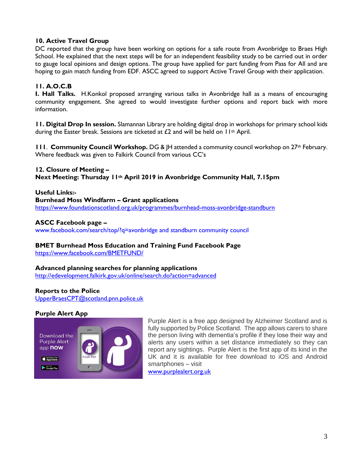## **10. Active Travel Group**

DC reported that the group have been working on options for a safe route from Avonbridge to Braes High School. He explained that the next steps will be for an independent feasibility study to be carried out in order to gauge local opinions and design options. The group have applied for part funding from Pass for All and are hoping to gain match funding from EDF. ASCC agreed to support Active Travel Group with their application.

# **11. A.O.C.B**

**I. Hall Talks.** H.Konkol proposed arranging various talks in Avonbridge hall as a means of encouraging community engagement. She agreed to would investigate further options and report back with more information.

**11. Digital Drop In session.** Slamannan Library are holding digital drop in workshops for primary school kids during the Easter break. Sessions are ticketed at  $\epsilon$ 2 and will be held on  $11$ <sup>th</sup> April.

**111. Community Council Workshop.** DG & |H attended a community council workshop on 27<sup>th</sup> February. Where feedback was given to Falkirk Council from various CC's

## **12. Closure of Meeting –**

**Next Meeting: Thursday 11th April 2019 in Avonbridge Community Hall, 7.15pm**

#### **Useful Links:-**

**Burnhead Moss Windfarm – Grant applications** <https://www.foundationscotland.org.uk/programmes/burnhead-moss-avonbridge-standburn>

## **ASCC Facebook page –**

www.facebook.com/search/top/?q=avonbridge and standburn community council

# **BMET Burnhead Moss Education and Training Fund Facebook Page**

<https://www.facebook.com/BMETFUND/>

## **Advanced planning searches for planning applications**

<http://edevelopment.falkirk.gov.uk/online/search.do?action=advanced>

## **Reports to the Police**

[UpperBraesCPT@scotland.pnn.police.uk](mailto:UpperBraesCPT@scotland.pnn.police.uk)

## **Purple Alert App**



Purple Alert is a free app designed by Alzheimer Scotland and is fully supported by Police Scotland. The app allows carers to share the person living with dementia's profile if they lose their way and alerts any users within a set distance immediately so they can report any sightings. Purple Alert is the first app of its kind in the UK and it is available for free download to iOS and Android smartphones – visit

[www.purplealert.org.uk](http://www.purplealert.org.uk/)